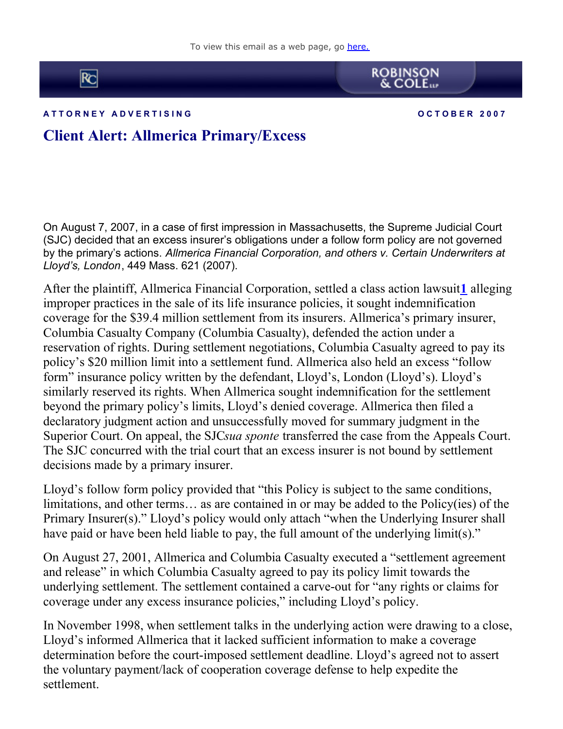To view this email as a web page, go [here.](http://cl.exct.net/?ju=fe2e157570650478721075&ls=fdeb10747163027b7d177372&m=fefb1671756c0d&l=fe941573716d077a75&s=fe191d757d600c7a751376&jb=ffcf14&t=)



**A T T O R N E Y A D V E R T I S I N G O C T O B E R 2 0 0 7**

**ROBINSON**<br>& COLE

## **Client Alert: Allmerica Primary/Excess**

On August 7, 2007, in a case of first impression in Massachusetts, the Supreme Judicial Court (SJC) decided that an excess insurer's obligations under a follow form policy are not governed by the primary's actions. *Allmerica Financial Corporation, and others v. Certain Underwriters at Lloyd's, London*, 449 Mass. 621 (2007).

After the plaintiff, Allmerica Financial Corporation, settled a class action lawsuit**[1](http://cl.exct.net:80/#1)** alleging improper practices in the sale of its life insurance policies, it sought indemnification coverage for the \$39.4 million settlement from its insurers. Allmerica's primary insurer, Columbia Casualty Company (Columbia Casualty), defended the action under a reservation of rights. During settlement negotiations, Columbia Casualty agreed to pay its policy's \$20 million limit into a settlement fund. Allmerica also held an excess "follow form" insurance policy written by the defendant, Lloyd's, London (Lloyd's). Lloyd's similarly reserved its rights. When Allmerica sought indemnification for the settlement beyond the primary policy's limits, Lloyd's denied coverage. Allmerica then filed a declaratory judgment action and unsuccessfully moved for summary judgment in the Superior Court. On appeal, the SJC*sua sponte* transferred the case from the Appeals Court. The SJC concurred with the trial court that an excess insurer is not bound by settlement decisions made by a primary insurer.

Lloyd's follow form policy provided that "this Policy is subject to the same conditions, limitations, and other terms… as are contained in or may be added to the Policy(ies) of the Primary Insurer(s)." Lloyd's policy would only attach "when the Underlying Insurer shall have paid or have been held liable to pay, the full amount of the underlying limit(s)."

On August 27, 2001, Allmerica and Columbia Casualty executed a "settlement agreement and release" in which Columbia Casualty agreed to pay its policy limit towards the underlying settlement. The settlement contained a carve-out for "any rights or claims for coverage under any excess insurance policies," including Lloyd's policy.

In November 1998, when settlement talks in the underlying action were drawing to a close, Lloyd's informed Allmerica that it lacked sufficient information to make a coverage determination before the court-imposed settlement deadline. Lloyd's agreed not to assert the voluntary payment/lack of cooperation coverage defense to help expedite the settlement.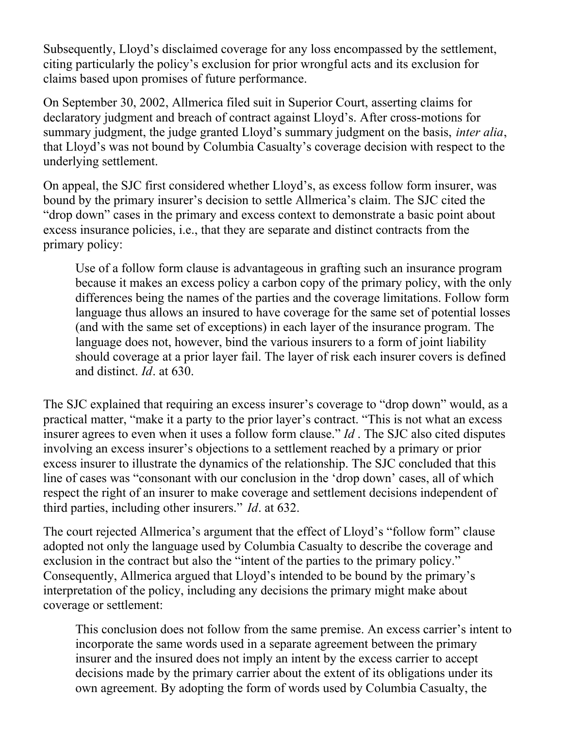Subsequently, Lloyd's disclaimed coverage for any loss encompassed by the settlement, citing particularly the policy's exclusion for prior wrongful acts and its exclusion for claims based upon promises of future performance.

On September 30, 2002, Allmerica filed suit in Superior Court, asserting claims for declaratory judgment and breach of contract against Lloyd's. After cross-motions for summary judgment, the judge granted Lloyd's summary judgment on the basis, *inter alia*, that Lloyd's was not bound by Columbia Casualty's coverage decision with respect to the underlying settlement.

On appeal, the SJC first considered whether Lloyd's, as excess follow form insurer, was bound by the primary insurer's decision to settle Allmerica's claim. The SJC cited the "drop down" cases in the primary and excess context to demonstrate a basic point about excess insurance policies, i.e., that they are separate and distinct contracts from the primary policy:

Use of a follow form clause is advantageous in grafting such an insurance program because it makes an excess policy a carbon copy of the primary policy, with the only differences being the names of the parties and the coverage limitations. Follow form language thus allows an insured to have coverage for the same set of potential losses (and with the same set of exceptions) in each layer of the insurance program. The language does not, however, bind the various insurers to a form of joint liability should coverage at a prior layer fail. The layer of risk each insurer covers is defined and distinct. *Id*. at 630.

The SJC explained that requiring an excess insurer's coverage to "drop down" would, as a practical matter, "make it a party to the prior layer's contract. "This is not what an excess insurer agrees to even when it uses a follow form clause." *Id* . The SJC also cited disputes involving an excess insurer's objections to a settlement reached by a primary or prior excess insurer to illustrate the dynamics of the relationship. The SJC concluded that this line of cases was "consonant with our conclusion in the 'drop down' cases, all of which respect the right of an insurer to make coverage and settlement decisions independent of third parties, including other insurers." *Id*. at 632.

The court rejected Allmerica's argument that the effect of Lloyd's "follow form" clause adopted not only the language used by Columbia Casualty to describe the coverage and exclusion in the contract but also the "intent of the parties to the primary policy." Consequently, Allmerica argued that Lloyd's intended to be bound by the primary's interpretation of the policy, including any decisions the primary might make about coverage or settlement:

This conclusion does not follow from the same premise. An excess carrier's intent to incorporate the same words used in a separate agreement between the primary insurer and the insured does not imply an intent by the excess carrier to accept decisions made by the primary carrier about the extent of its obligations under its own agreement. By adopting the form of words used by Columbia Casualty, the